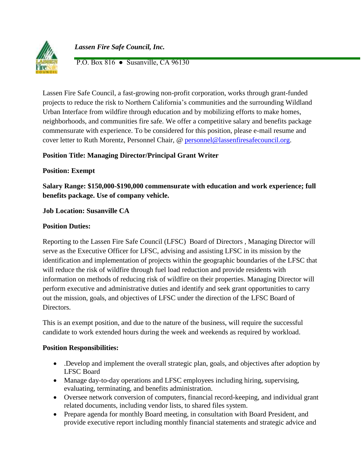

 *Lassen Fire Safe Council, Inc.*

P.O. Box 816 ● Susanville, CA 96130

Lassen Fire Safe Council, a fast-growing non-profit corporation, works through grant-funded projects to reduce the risk to Northern California's communities and the surrounding Wildland Urban Interface from wildfire through education and by mobilizing efforts to make homes, neighborhoods, and communities fire safe. We offer a competitive salary and benefits package commensurate with experience. To be considered for this position, please e-mail resume and cover letter to Ruth Morentz, Personnel Chair, @ [personnel@lassenfiresafecouncil.org.](mailto:personnel@lassenfiresafecouncil.org)

# **Position Title: Managing Director/Principal Grant Writer**

## **Position: Exempt**

**Salary Range: \$150,000-\$190,000 commensurate with education and work experience; full benefits package. Use of company vehicle.** 

# **Job Location: Susanville CA**

## **Position Duties:**

Reporting to the Lassen Fire Safe Council (LFSC) Board of Directors , Managing Director will serve as the Executive Officer for LFSC, advising and assisting LFSC in its mission by the identification and implementation of projects within the geographic boundaries of the LFSC that will reduce the risk of wildfire through fuel load reduction and provide residents with information on methods of reducing risk of wildfire on their properties. Managing Director will perform executive and administrative duties and identify and seek grant opportunities to carry out the mission, goals, and objectives of LFSC under the direction of the LFSC Board of Directors.

This is an exempt position, and due to the nature of the business, will require the successful candidate to work extended hours during the week and weekends as required by workload.

## **Position Responsibilities:**

- .Develop and implement the overall strategic plan, goals, and objectives after adoption by LFSC Board
- Manage day-to-day operations and LFSC employees including hiring, supervising, evaluating, terminating, and benefits administration.
- Oversee network conversion of computers, financial record-keeping, and individual grant related documents, including vendor lists, to shared files system.
- Prepare agenda for monthly Board meeting, in consultation with Board President, and provide executive report including monthly financial statements and strategic advice and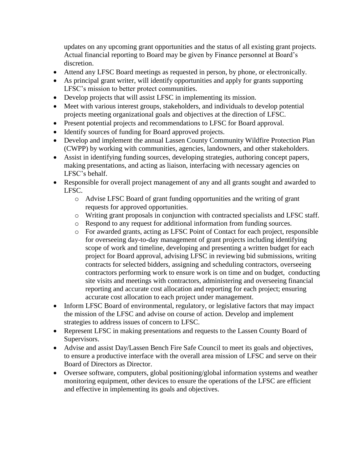updates on any upcoming grant opportunities and the status of all existing grant projects. Actual financial reporting to Board may be given by Finance personnel at Board's discretion.

- Attend any LFSC Board meetings as requested in person, by phone, or electronically.
- As principal grant writer, will identify opportunities and apply for grants supporting LFSC's mission to better protect communities.
- Develop projects that will assist LFSC in implementing its mission.
- Meet with various interest groups, stakeholders, and individuals to develop potential projects meeting organizational goals and objectives at the direction of LFSC.
- Present potential projects and recommendations to LFSC for Board approval.
- Identify sources of funding for Board approved projects.
- Develop and implement the annual Lassen County Community Wildfire Protection Plan (CWPP) by working with communities, agencies, landowners, and other stakeholders.
- Assist in identifying funding sources, developing strategies, authoring concept papers, making presentations, and acting as liaison, interfacing with necessary agencies on LFSC's behalf.
- Responsible for overall project management of any and all grants sought and awarded to LFSC.
	- o Advise LFSC Board of grant funding opportunities and the writing of grant requests for approved opportunities.
	- o Writing grant proposals in conjunction with contracted specialists and LFSC staff.
	- o Respond to any request for additional information from funding sources.
	- o For awarded grants, acting as LFSC Point of Contact for each project, responsible for overseeing day-to-day management of grant projects including identifying scope of work and timeline, developing and presenting a written budget for each project for Board approval, advising LFSC in reviewing bid submissions, writing contracts for selected bidders, assigning and scheduling contractors, overseeing contractors performing work to ensure work is on time and on budget, conducting site visits and meetings with contractors, administering and overseeing financial reporting and accurate cost allocation and reporting for each project; ensuring accurate cost allocation to each project under management.
- Inform LFSC Board of environmental, regulatory, or legislative factors that may impact the mission of the LFSC and advise on course of action. Develop and implement strategies to address issues of concern to LFSC.
- Represent LFSC in making presentations and requests to the Lassen County Board of Supervisors.
- Advise and assist Day/Lassen Bench Fire Safe Council to meet its goals and objectives, to ensure a productive interface with the overall area mission of LFSC and serve on their Board of Directors as Director.
- Oversee software, computers, global positioning/global information systems and weather monitoring equipment, other devices to ensure the operations of the LFSC are efficient and effective in implementing its goals and objectives.